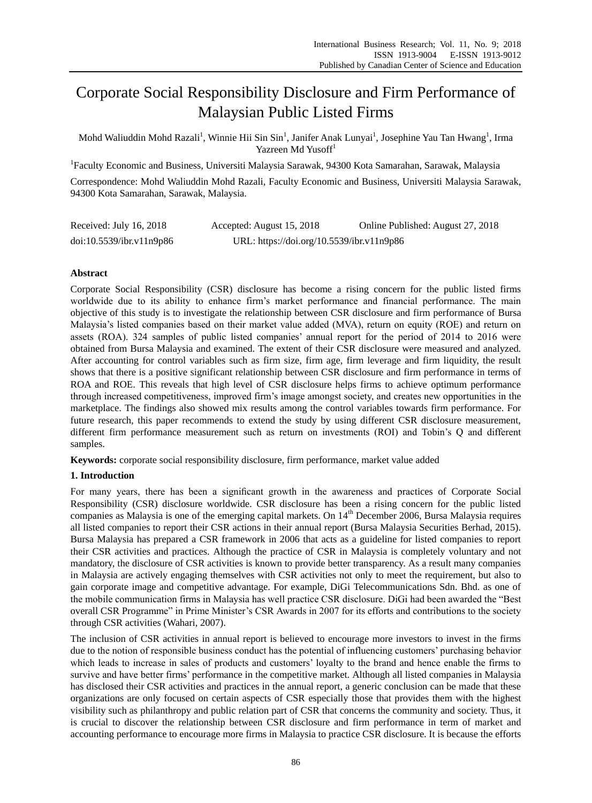# Corporate Social Responsibility Disclosure and Firm Performance of Malaysian Public Listed Firms

Mohd Waliuddin Mohd Razali<sup>1</sup>, Winnie Hii Sin Sin<sup>1</sup>, Janifer Anak Lunyai<sup>1</sup>, Josephine Yau Tan Hwang<sup>1</sup>, Irma Yazreen Md Yusoff<sup>1</sup>

<sup>1</sup>Faculty Economic and Business, Universiti Malaysia Sarawak, 94300 Kota Samarahan, Sarawak, Malaysia Correspondence: Mohd Waliuddin Mohd Razali, Faculty Economic and Business, Universiti Malaysia Sarawak, 94300 Kota Samarahan, Sarawak, Malaysia.

| Received: July 16, 2018  | Accepted: August 15, 2018                 | Online Published: August 27, 2018 |
|--------------------------|-------------------------------------------|-----------------------------------|
| doi:10.5539/ibr.v11n9p86 | URL: https://doi.org/10.5539/ibr.v11n9p86 |                                   |

# **Abstract**

Corporate Social Responsibility (CSR) disclosure has become a rising concern for the public listed firms worldwide due to its ability to enhance firm's market performance and financial performance. The main objective of this study is to investigate the relationship between CSR disclosure and firm performance of Bursa Malaysia's listed companies based on their market value added (MVA), return on equity (ROE) and return on assets (ROA). 324 samples of public listed companies' annual report for the period of 2014 to 2016 were obtained from Bursa Malaysia and examined. The extent of their CSR disclosure were measured and analyzed. After accounting for control variables such as firm size, firm age, firm leverage and firm liquidity, the result shows that there is a positive significant relationship between CSR disclosure and firm performance in terms of ROA and ROE. This reveals that high level of CSR disclosure helps firms to achieve optimum performance through increased competitiveness, improved firm's image amongst society, and creates new opportunities in the marketplace. The findings also showed mix results among the control variables towards firm performance. For future research, this paper recommends to extend the study by using different CSR disclosure measurement, different firm performance measurement such as return on investments (ROI) and Tobin's Q and different samples.

**Keywords:** corporate social responsibility disclosure, firm performance, market value added

# **1. Introduction**

For many years, there has been a significant growth in the awareness and practices of Corporate Social Responsibility (CSR) disclosure worldwide. CSR disclosure has been a rising concern for the public listed companies as Malaysia is one of the emerging capital markets. On 14<sup>th</sup> December 2006, Bursa Malaysia requires all listed companies to report their CSR actions in their annual report (Bursa Malaysia Securities Berhad, 2015). Bursa Malaysia has prepared a CSR framework in 2006 that acts as a guideline for listed companies to report their CSR activities and practices. Although the practice of CSR in Malaysia is completely voluntary and not mandatory, the disclosure of CSR activities is known to provide better transparency. As a result many companies in Malaysia are actively engaging themselves with CSR activities not only to meet the requirement, but also to gain corporate image and competitive advantage. For example, DiGi Telecommunications Sdn. Bhd. as one of the mobile communication firms in Malaysia has well practice CSR disclosure. DiGi had been awarded the "Best overall CSR Programme" in Prime Minister's CSR Awards in 2007 for its efforts and contributions to the society through CSR activities (Wahari, 2007).

The inclusion of CSR activities in annual report is believed to encourage more investors to invest in the firms due to the notion of responsible business conduct has the potential of influencing customers' purchasing behavior which leads to increase in sales of products and customers' loyalty to the brand and hence enable the firms to survive and have better firms' performance in the competitive market. Although all listed companies in Malaysia has disclosed their CSR activities and practices in the annual report, a generic conclusion can be made that these organizations are only focused on certain aspects of CSR especially those that provides them with the highest visibility such as philanthropy and public relation part of CSR that concerns the community and society. Thus, it is crucial to discover the relationship between CSR disclosure and firm performance in term of market and accounting performance to encourage more firms in Malaysia to practice CSR disclosure. It is because the efforts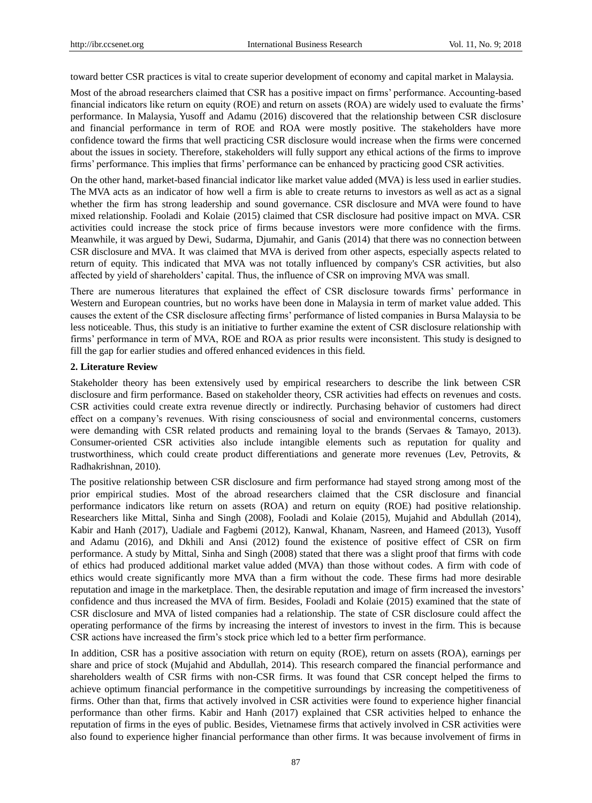toward better CSR practices is vital to create superior development of economy and capital market in Malaysia.

Most of the abroad researchers claimed that CSR has a positive impact on firms' performance. Accounting-based financial indicators like return on equity (ROE) and return on assets (ROA) are widely used to evaluate the firms' performance. In Malaysia, Yusoff and Adamu (2016) discovered that the relationship between CSR disclosure and financial performance in term of ROE and ROA were mostly positive. The stakeholders have more confidence toward the firms that well practicing CSR disclosure would increase when the firms were concerned about the issues in society. Therefore, stakeholders will fully support any ethical actions of the firms to improve firms' performance. This implies that firms' performance can be enhanced by practicing good CSR activities.

On the other hand, market-based financial indicator like market value added (MVA) is less used in earlier studies. The MVA acts as an indicator of how well a firm is able to create returns to investors as well as act as a signal whether the firm has strong leadership and sound governance. CSR disclosure and MVA were found to have mixed relationship. Fooladi and Kolaie (2015) claimed that CSR disclosure had positive impact on MVA. CSR activities could increase the stock price of firms because investors were more confidence with the firms. Meanwhile, it was argued by Dewi, Sudarma, Djumahir, and Ganis (2014) that there was no connection between CSR disclosure and MVA. It was claimed that MVA is derived from other aspects, especially aspects related to return of equity. This indicated that MVA was not totally influenced by company's CSR activities, but also affected by yield of shareholders' capital. Thus, the influence of CSR on improving MVA was small.

There are numerous literatures that explained the effect of CSR disclosure towards firms' performance in Western and European countries, but no works have been done in Malaysia in term of market value added. This causes the extent of the CSR disclosure affecting firms' performance of listed companies in Bursa Malaysia to be less noticeable. Thus, this study is an initiative to further examine the extent of CSR disclosure relationship with firms' performance in term of MVA, ROE and ROA as prior results were inconsistent. This study is designed to fill the gap for earlier studies and offered enhanced evidences in this field.

# **2. Literature Review**

Stakeholder theory has been extensively used by empirical researchers to describe the link between CSR disclosure and firm performance. Based on stakeholder theory, CSR activities had effects on revenues and costs. CSR activities could create extra revenue directly or indirectly. Purchasing behavior of customers had direct effect on a company's revenues. With rising consciousness of social and environmental concerns, customers were demanding with CSR related products and remaining loyal to the brands (Servaes & Tamayo, 2013). Consumer-oriented CSR activities also include intangible elements such as reputation for quality and trustworthiness, which could create product differentiations and generate more revenues (Lev, Petrovits, & Radhakrishnan, 2010).

The positive relationship between CSR disclosure and firm performance had stayed strong among most of the prior empirical studies. Most of the abroad researchers claimed that the CSR disclosure and financial performance indicators like return on assets (ROA) and return on equity (ROE) had positive relationship. Researchers like Mittal, Sinha and Singh (2008), Fooladi and Kolaie (2015), Mujahid and Abdullah (2014), Kabir and Hanh (2017), Uadiale and Fagbemi (2012), Kanwal, Khanam, Nasreen, and Hameed (2013), Yusoff and Adamu (2016), and Dkhili and Ansi (2012) found the existence of positive effect of CSR on firm performance. A study by Mittal, Sinha and Singh (2008) stated that there was a slight proof that firms with code of ethics had produced additional market value added (MVA) than those without codes. A firm with code of ethics would create significantly more MVA than a firm without the code. These firms had more desirable reputation and image in the marketplace. Then, the desirable reputation and image of firm increased the investors' confidence and thus increased the MVA of firm. Besides, Fooladi and Kolaie (2015) examined that the state of CSR disclosure and MVA of listed companies had a relationship. The state of CSR disclosure could affect the operating performance of the firms by increasing the interest of investors to invest in the firm. This is because CSR actions have increased the firm's stock price which led to a better firm performance.

In addition, CSR has a positive association with return on equity (ROE), return on assets (ROA), earnings per share and price of stock (Mujahid and Abdullah, 2014). This research compared the financial performance and shareholders wealth of CSR firms with non-CSR firms. It was found that CSR concept helped the firms to achieve optimum financial performance in the competitive surroundings by increasing the competitiveness of firms. Other than that, firms that actively involved in CSR activities were found to experience higher financial performance than other firms. Kabir and Hanh (2017) explained that CSR activities helped to enhance the reputation of firms in the eyes of public. Besides, Vietnamese firms that actively involved in CSR activities were also found to experience higher financial performance than other firms. It was because involvement of firms in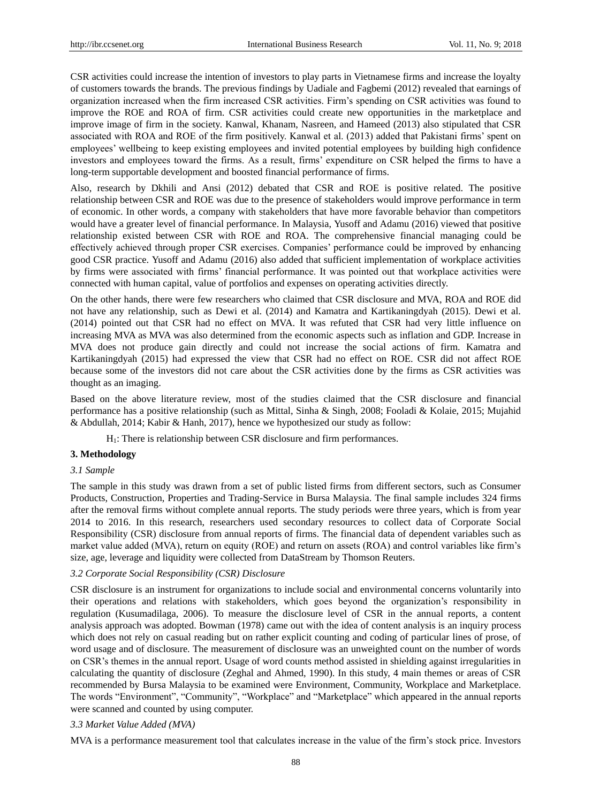CSR activities could increase the intention of investors to play parts in Vietnamese firms and increase the loyalty of customers towards the brands. The previous findings by Uadiale and Fagbemi (2012) revealed that earnings of organization increased when the firm increased CSR activities. Firm's spending on CSR activities was found to improve the ROE and ROA of firm. CSR activities could create new opportunities in the marketplace and improve image of firm in the society. Kanwal, Khanam, Nasreen, and Hameed (2013) also stipulated that CSR associated with ROA and ROE of the firm positively. Kanwal et al. (2013) added that Pakistani firms' spent on employees' wellbeing to keep existing employees and invited potential employees by building high confidence investors and employees toward the firms. As a result, firms' expenditure on CSR helped the firms to have a long-term supportable development and boosted financial performance of firms.

Also, research by Dkhili and Ansi (2012) debated that CSR and ROE is positive related. The positive relationship between CSR and ROE was due to the presence of stakeholders would improve performance in term of economic. In other words, a company with stakeholders that have more favorable behavior than competitors would have a greater level of financial performance. In Malaysia, Yusoff and Adamu (2016) viewed that positive relationship existed between CSR with ROE and ROA. The comprehensive financial managing could be effectively achieved through proper CSR exercises. Companies' performance could be improved by enhancing good CSR practice. Yusoff and Adamu (2016) also added that sufficient implementation of workplace activities by firms were associated with firms' financial performance. It was pointed out that workplace activities were connected with human capital, value of portfolios and expenses on operating activities directly.

On the other hands, there were few researchers who claimed that CSR disclosure and MVA, ROA and ROE did not have any relationship, such as Dewi et al. (2014) and Kamatra and Kartikaningdyah (2015). Dewi et al. (2014) pointed out that CSR had no effect on MVA. It was refuted that CSR had very little influence on increasing MVA as MVA was also determined from the economic aspects such as inflation and GDP. Increase in MVA does not produce gain directly and could not increase the social actions of firm. Kamatra and Kartikaningdyah (2015) had expressed the view that CSR had no effect on ROE. CSR did not affect ROE because some of the investors did not care about the CSR activities done by the firms as CSR activities was thought as an imaging.

Based on the above literature review, most of the studies claimed that the CSR disclosure and financial performance has a positive relationship (such as Mittal, Sinha & Singh, 2008; Fooladi & Kolaie, 2015; Mujahid & Abdullah, 2014; Kabir & Hanh, 2017), hence we hypothesized our study as follow:

 $H<sub>1</sub>$ : There is relationship between CSR disclosure and firm performances.

## **3. Methodology**

#### *3.1 Sample*

The sample in this study was drawn from a set of public listed firms from different sectors, such as Consumer Products, Construction, Properties and Trading-Service in Bursa Malaysia. The final sample includes 324 firms after the removal firms without complete annual reports. The study periods were three years, which is from year 2014 to 2016. In this research, researchers used secondary resources to collect data of Corporate Social Responsibility (CSR) disclosure from annual reports of firms. The financial data of dependent variables such as market value added (MVA), return on equity (ROE) and return on assets (ROA) and control variables like firm's size, age, leverage and liquidity were collected from DataStream by Thomson Reuters.

## *3.2 Corporate Social Responsibility (CSR) Disclosure*

CSR disclosure is an instrument for organizations to include social and environmental concerns voluntarily into their operations and relations with stakeholders, which goes beyond the organization's responsibility in regulation (Kusumadilaga, 2006). To measure the disclosure level of CSR in the annual reports, a content analysis approach was adopted. Bowman (1978) came out with the idea of content analysis is an inquiry process which does not rely on casual reading but on rather explicit counting and coding of particular lines of prose, of word usage and of disclosure. The measurement of disclosure was an unweighted count on the number of words on CSR's themes in the annual report. Usage of word counts method assisted in shielding against irregularities in calculating the quantity of disclosure (Zeghal and Ahmed, 1990). In this study, 4 main themes or areas of CSR recommended by Bursa Malaysia to be examined were Environment, Community, Workplace and Marketplace. The words "Environment", "Community", "Workplace" and "Marketplace" which appeared in the annual reports were scanned and counted by using computer.

#### *3.3 Market Value Added (MVA)*

MVA is a performance measurement tool that calculates increase in the value of the firm's stock price. Investors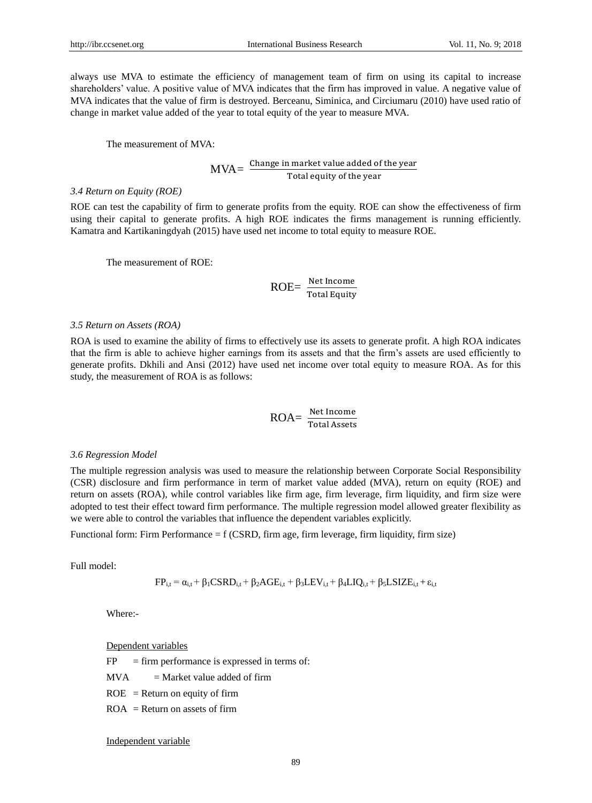always use MVA to estimate the efficiency of management team of firm on using its capital to increase shareholders' value. A positive value of MVA indicates that the firm has improved in value. A negative value of MVA indicates that the value of firm is destroyed. Berceanu, Siminica, and Circiumaru (2010) have used ratio of change in market value added of the year to total equity of the year to measure MVA.

The measurement of MVA:

$$
MVA = \frac{\text{Change in market value added of the year}}{\text{Total equity of the year}}
$$

#### *3.4 Return on Equity (ROE)*

ROE can test the capability of firm to generate profits from the equity. ROE can show the effectiveness of firm using their capital to generate profits. A high ROE indicates the firms management is running efficiently. Kamatra and Kartikaningdyah (2015) have used net income to total equity to measure ROE.

The measurement of ROE:

$$
ROE = \frac{\text{Net Income}}{\text{Total Equity}}
$$

#### *3.5 Return on Assets (ROA)*

ROA is used to examine the ability of firms to effectively use its assets to generate profit. A high ROA indicates that the firm is able to achieve higher earnings from its assets and that the firm's assets are used efficiently to generate profits. Dkhili and Ansi (2012) have used net income over total equity to measure ROA. As for this study, the measurement of ROA is as follows:

$$
ROA = \frac{\text{Net Income}}{\text{Total Assets}}
$$

#### *3.6 Regression Model*

The multiple regression analysis was used to measure the relationship between Corporate Social Responsibility (CSR) disclosure and firm performance in term of market value added (MVA), return on equity (ROE) and return on assets (ROA), while control variables like firm age, firm leverage, firm liquidity, and firm size were adopted to test their effect toward firm performance. The multiple regression model allowed greater flexibility as we were able to control the variables that influence the dependent variables explicitly.

Functional form: Firm Performance  $= f$  (CSRD, firm age, firm leverage, firm liquidity, firm size)

Full model:

$$
FP_{i,t} = \alpha_{i,t} + \beta_1 CSPD_{i,t} + \beta_2AGE_{i,t} + \beta_3LEV_{i,t} + \beta_4LIQ_{i,t} + \beta_5LSIZE_{i,t} + \epsilon_{i,t}
$$

Where:-

Dependent variables

 $FP = firm performance is expressed in terms of:$ 

 $MVA$  = Market value added of firm

 $ROE = Return$  on equity of firm

 $ROA = Return on assets of firm$ 

Independent variable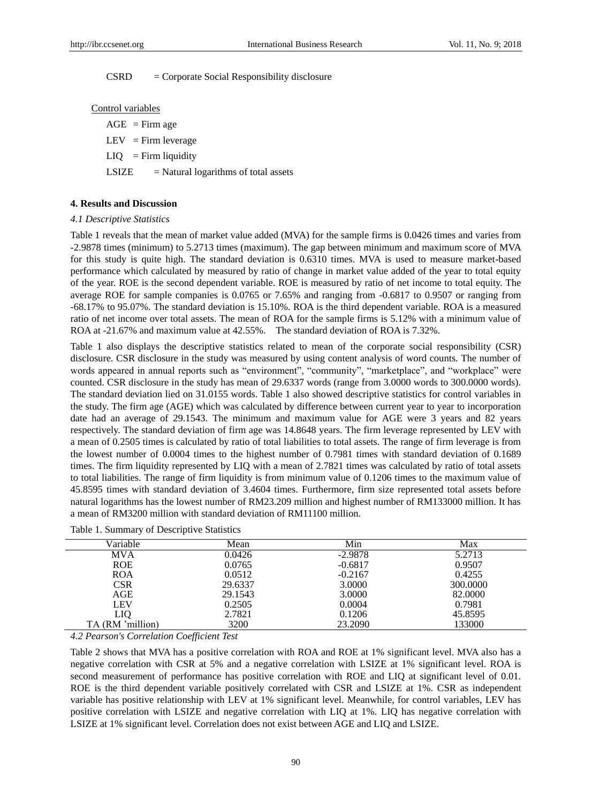$CSRD =$  Corporate Social Responsibility disclosure

#### Control variables

 $AGE$  = Firm age  $LEV = Firm$  leverage  $LIQ = Firm$  liquidity  $LSIZE$  = Natural logarithms of total assets

# **4. Results and Discussion**

#### *4.1 Descriptive Statistics*

Table 1 reveals that the mean of market value added (MVA) for the sample firms is 0.0426 times and varies from -2.9878 times (minimum) to 5.2713 times (maximum). The gap between minimum and maximum score of MVA for this study is quite high. The standard deviation is 0.6310 times. MVA is used to measure market-based performance which calculated by measured by ratio of change in market value added of the year to total equity of the year. ROE is the second dependent variable. ROE is measured by ratio of net income to total equity. The average ROE for sample companies is 0.0765 or 7.65% and ranging from -0.6817 to 0.9507 or ranging from -68.17% to 95.07%. The standard deviation is 15.10%. ROA is the third dependent variable. ROA is a measured ratio of net income over total assets. The mean of ROA for the sample firms is 5.12% with a minimum value of ROA at -21.67% and maximum value at 42.55%. The standard deviation of ROA is 7.32%.

Table 1 also displays the descriptive statistics related to mean of the corporate social responsibility (CSR) disclosure. CSR disclosure in the study was measured by using content analysis of word counts. The number of words appeared in annual reports such as "environment", "community", "marketplace", and "workplace" were counted. CSR disclosure in the study has mean of 29.6337 words (range from 3.0000 words to 300.0000 words). The standard deviation lied on 31.0155 words. Table 1 also showed descriptive statistics for control variables in the study. The firm age (AGE) which was calculated by difference between current year to year to incorporation date had an average of 29.1543. The minimum and maximum value for AGE were 3 years and 82 years respectively. The standard deviation of firm age was 14.8648 years. The firm leverage represented by LEV with a mean of 0.2505 times is calculated by ratio of total liabilities to total assets. The range of firm leverage is from the lowest number of 0.0004 times to the highest number of 0.7981 times with standard deviation of 0.1689 times. The firm liquidity represented by LIQ with a mean of 2.7821 times was calculated by ratio of total assets to total liabilities. The range of firm liquidity is from minimum value of 0.1206 times to the maximum value of 45.8595 times with standard deviation of 3.4604 times. Furthermore, firm size represented total assets before natural logarithms has the lowest number of RM23.209 million and highest number of RM133000 million. It has a mean of RM3200 million with standard deviation of RM11100 million.

|  | Table 1. Summary of Descriptive Statistics |  |  |  |
|--|--------------------------------------------|--|--|--|
|--|--------------------------------------------|--|--|--|

| Variable         | Mean    | Min       | Max      |
|------------------|---------|-----------|----------|
| <b>MVA</b>       | 0.0426  | $-2.9878$ | 5.2713   |
| <b>ROE</b>       | 0.0765  | $-0.6817$ | 0.9507   |
| <b>ROA</b>       | 0.0512  | $-0.2167$ | 0.4255   |
| <b>CSR</b>       | 29.6337 | 3.0000    | 300,0000 |
| AGE              | 29.1543 | 3.0000    | 82,0000  |
| LEV              | 0.2505  | 0.0004    | 0.7981   |
| LIO              | 2.7821  | 0.1206    | 45.8595  |
| TA (RM 'million) | 3200    | 23.2090   | 133000   |

# *4.2 Pearson's Correlation Coefficient Test*

Table 2 shows that MVA has a positive correlation with ROA and ROE at 1% significant level. MVA also has a negative correlation with CSR at 5% and a negative correlation with LSIZE at 1% significant level. ROA is second measurement of performance has positive correlation with ROE and LIQ at significant level of 0.01. ROE is the third dependent variable positively correlated with CSR and LSIZE at 1%. CSR as independent variable has positive relationship with LEV at 1% significant level. Meanwhile, for control variables, LEV has positive correlation with LSIZE and negative correlation with LIQ at 1%. LIQ has negative correlation with LSIZE at 1% significant level. Correlation does not exist between AGE and LIQ and LSIZE.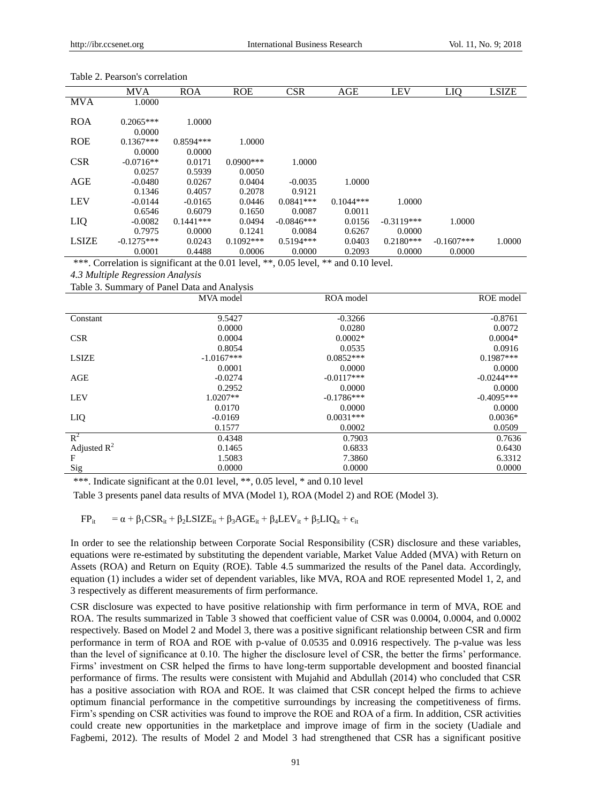|              | <b>MVA</b>   | <b>ROA</b>   | <b>ROE</b>   | <b>CSR</b>   | AGE         | <b>LEV</b>   | <b>LIQ</b>    | <b>LSIZE</b> |
|--------------|--------------|--------------|--------------|--------------|-------------|--------------|---------------|--------------|
| <b>MVA</b>   | 1.0000       |              |              |              |             |              |               |              |
|              |              |              |              |              |             |              |               |              |
| <b>ROA</b>   | $0.2065***$  | 1.0000       |              |              |             |              |               |              |
|              | 0.0000       |              |              |              |             |              |               |              |
| <b>ROE</b>   | $0.1367***$  | $0.8594***$  | 1.0000       |              |             |              |               |              |
|              | 0.0000       | 0.0000       |              |              |             |              |               |              |
| <b>CSR</b>   | $-0.0716**$  | 0.0171       | $0.0900$ *** | 1.0000       |             |              |               |              |
|              | 0.0257       | 0.5939       | 0.0050       |              |             |              |               |              |
| AGE          | $-0.0480$    | 0.0267       | 0.0404       | $-0.0035$    | 1.0000      |              |               |              |
|              | 0.1346       | 0.4057       | 0.2078       | 0.9121       |             |              |               |              |
| <b>LEV</b>   | $-0.0144$    | $-0.0165$    | 0.0446       | $0.0841***$  | $0.1044***$ | 1.0000       |               |              |
|              | 0.6546       | 0.6079       | 0.1650       | 0.0087       | 0.0011      |              |               |              |
| LIQ          | $-0.0082$    | $0.1441$ *** | 0.0494       | $-0.0846***$ | 0.0156      | $-0.3119***$ | 1.0000        |              |
|              | 0.7975       | 0.0000       | 0.1241       | 0.0084       | 0.6267      | 0.0000       |               |              |
| <b>LSIZE</b> | $-0.1275***$ | 0.0243       | $0.1092$ *** | $0.5194***$  | 0.0403      | $0.2180***$  | $-0.1607$ *** | 1.0000       |
|              | 0.0001       | 0.4488       | 0.0006       | 0.0000       | 0.2093      | 0.0000       | 0.0000        |              |

Table 2. Pearson's correlation

\*\*\*. Correlation is significant at the 0.01 level, \*\*, 0.05 level, \*\* and 0.10 level.

*4.3 Multiple Regression Analysis*

Table 3. Summary of Panel Data and Analysis

|                | MVA model    | ROA model    | ROE model    |
|----------------|--------------|--------------|--------------|
|                |              |              |              |
| Constant       | 9.5427       | $-0.3266$    | $-0.8761$    |
|                | 0.0000       | 0.0280       | 0.0072       |
| <b>CSR</b>     | 0.0004       | $0.0002*$    | $0.0004*$    |
|                | 0.8054       | 0.0535       | 0.0916       |
| <b>LSIZE</b>   | $-1.0167***$ | $0.0852***$  | $0.1987***$  |
|                | 0.0001       | 0.0000       | 0.0000       |
| AGE            | $-0.0274$    | $-0.0117***$ | $-0.0244***$ |
|                | 0.2952       | 0.0000       | 0.0000       |
| <b>LEV</b>     | $1.0207**$   | $-0.1786***$ | $-0.4095***$ |
|                | 0.0170       | 0.0000       | 0.0000       |
| LIQ            | $-0.0169$    | $0.0031***$  | $0.0036*$    |
|                | 0.1577       | 0.0002       | 0.0509       |
| $\mathbb{R}^2$ | 0.4348       | 0.7903       | 0.7636       |
| Adjusted $R^2$ | 0.1465       | 0.6833       | 0.6430       |
| F              | 1.5083       | 7.3860       | 6.3312       |
| Sig            | 0.0000       | 0.0000       | 0.0000       |

\*\*\*. Indicate significant at the 0.01 level, \*\*, 0.05 level, \* and 0.10 level

Table 3 presents panel data results of MVA (Model 1), ROA (Model 2) and ROE (Model 3).

 $FP_{it} = \alpha + \beta_1CSR_{it} + \beta_2LSIZE_{it} + \beta_3AGE_{it} + \beta_4LEV_{it} + \beta_5LIQ_{it} + \epsilon_{it}$ 

In order to see the relationship between Corporate Social Responsibility (CSR) disclosure and these variables, equations were re-estimated by substituting the dependent variable, Market Value Added (MVA) with Return on Assets (ROA) and Return on Equity (ROE). Table 4.5 summarized the results of the Panel data. Accordingly, equation (1) includes a wider set of dependent variables, like MVA, ROA and ROE represented Model 1, 2, and 3 respectively as different measurements of firm performance.

CSR disclosure was expected to have positive relationship with firm performance in term of MVA, ROE and ROA. The results summarized in Table 3 showed that coefficient value of CSR was 0.0004, 0.0004, and 0.0002 respectively. Based on Model 2 and Model 3, there was a positive significant relationship between CSR and firm performance in term of ROA and ROE with p-value of 0.0535 and 0.0916 respectively. The p-value was less than the level of significance at 0.10. The higher the disclosure level of CSR, the better the firms' performance. Firms' investment on CSR helped the firms to have long-term supportable development and boosted financial performance of firms. The results were consistent with Mujahid and Abdullah (2014) who concluded that CSR has a positive association with ROA and ROE. It was claimed that CSR concept helped the firms to achieve optimum financial performance in the competitive surroundings by increasing the competitiveness of firms. Firm's spending on CSR activities was found to improve the ROE and ROA of a firm. In addition, CSR activities could create new opportunities in the marketplace and improve image of firm in the society (Uadiale and Fagbemi, 2012). The results of Model 2 and Model 3 had strengthened that CSR has a significant positive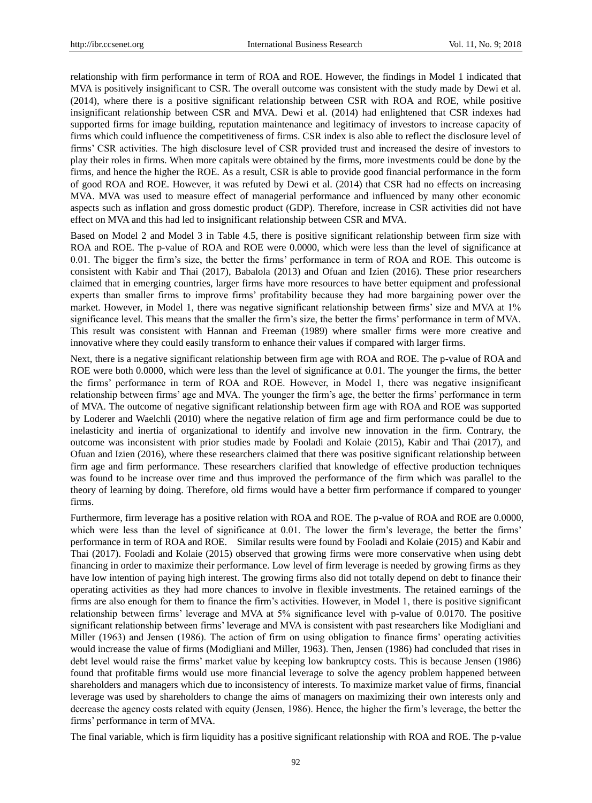relationship with firm performance in term of ROA and ROE. However, the findings in Model 1 indicated that MVA is positively insignificant to CSR. The overall outcome was consistent with the study made by Dewi et al. (2014), where there is a positive significant relationship between CSR with ROA and ROE, while positive insignificant relationship between CSR and MVA. Dewi et al. (2014) had enlightened that CSR indexes had supported firms for image building, reputation maintenance and legitimacy of investors to increase capacity of firms which could influence the competitiveness of firms. CSR index is also able to reflect the disclosure level of firms' CSR activities. The high disclosure level of CSR provided trust and increased the desire of investors to play their roles in firms. When more capitals were obtained by the firms, more investments could be done by the firms, and hence the higher the ROE. As a result, CSR is able to provide good financial performance in the form of good ROA and ROE. However, it was refuted by Dewi et al. (2014) that CSR had no effects on increasing MVA. MVA was used to measure effect of managerial performance and influenced by many other economic aspects such as inflation and gross domestic product (GDP). Therefore, increase in CSR activities did not have effect on MVA and this had led to insignificant relationship between CSR and MVA.

Based on Model 2 and Model 3 in Table 4.5, there is positive significant relationship between firm size with ROA and ROE. The p-value of ROA and ROE were 0.0000, which were less than the level of significance at 0.01. The bigger the firm's size, the better the firms' performance in term of ROA and ROE. This outcome is consistent with Kabir and Thai (2017), Babalola (2013) and Ofuan and Izien (2016). These prior researchers claimed that in emerging countries, larger firms have more resources to have better equipment and professional experts than smaller firms to improve firms' profitability because they had more bargaining power over the market. However, in Model 1, there was negative significant relationship between firms' size and MVA at 1% significance level. This means that the smaller the firm's size, the better the firms' performance in term of MVA. This result was consistent with Hannan and Freeman (1989) where smaller firms were more creative and innovative where they could easily transform to enhance their values if compared with larger firms.

Next, there is a negative significant relationship between firm age with ROA and ROE. The p-value of ROA and ROE were both 0.0000, which were less than the level of significance at 0.01. The younger the firms, the better the firms' performance in term of ROA and ROE. However, in Model 1, there was negative insignificant relationship between firms' age and MVA. The younger the firm's age, the better the firms' performance in term of MVA. The outcome of negative significant relationship between firm age with ROA and ROE was supported by Loderer and Waelchli (2010) where the negative relation of firm age and firm performance could be due to inelasticity and inertia of organizational to identify and involve new innovation in the firm. Contrary, the outcome was inconsistent with prior studies made by Fooladi and Kolaie (2015), Kabir and Thai (2017), and Ofuan and Izien (2016), where these researchers claimed that there was positive significant relationship between firm age and firm performance. These researchers clarified that knowledge of effective production techniques was found to be increase over time and thus improved the performance of the firm which was parallel to the theory of learning by doing. Therefore, old firms would have a better firm performance if compared to younger firms.

Furthermore, firm leverage has a positive relation with ROA and ROE. The p-value of ROA and ROE are 0.0000, which were less than the level of significance at 0.01. The lower the firm's leverage, the better the firms' performance in term of ROA and ROE. Similar results were found by Fooladi and Kolaie (2015) and Kabir and Thai (2017). Fooladi and Kolaie (2015) observed that growing firms were more conservative when using debt financing in order to maximize their performance. Low level of firm leverage is needed by growing firms as they have low intention of paying high interest. The growing firms also did not totally depend on debt to finance their operating activities as they had more chances to involve in flexible investments. The retained earnings of the firms are also enough for them to finance the firm's activities. However, in Model 1, there is positive significant relationship between firms' leverage and MVA at 5% significance level with p-value of 0.0170. The positive significant relationship between firms' leverage and MVA is consistent with past researchers like Modigliani and Miller (1963) and Jensen (1986). The action of firm on using obligation to finance firms' operating activities would increase the value of firms (Modigliani and Miller, 1963). Then, Jensen (1986) had concluded that rises in debt level would raise the firms' market value by keeping low bankruptcy costs. This is because Jensen (1986) found that profitable firms would use more financial leverage to solve the agency problem happened between shareholders and managers which due to inconsistency of interests. To maximize market value of firms, financial leverage was used by shareholders to change the aims of managers on maximizing their own interests only and decrease the agency costs related with equity (Jensen, 1986). Hence, the higher the firm's leverage, the better the firms' performance in term of MVA.

The final variable, which is firm liquidity has a positive significant relationship with ROA and ROE. The p-value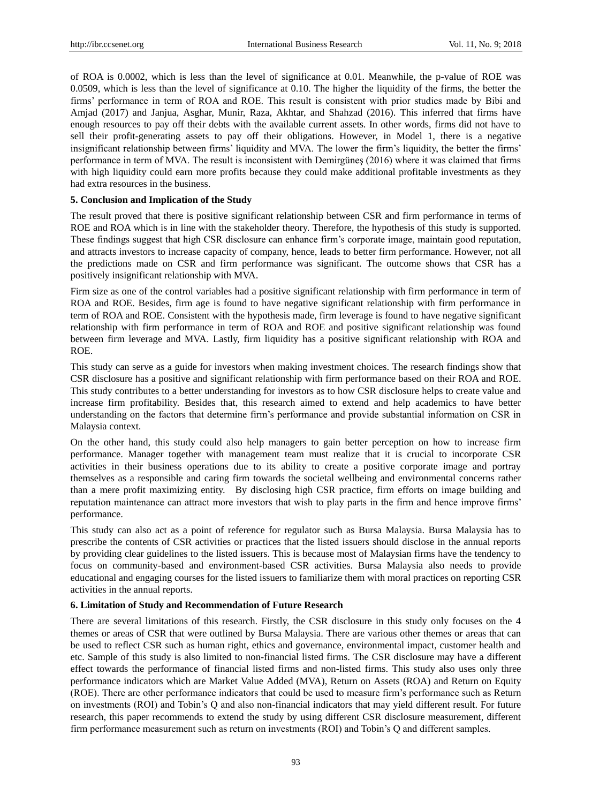of ROA is 0.0002, which is less than the level of significance at 0.01. Meanwhile, the p-value of ROE was 0.0509, which is less than the level of significance at 0.10. The higher the liquidity of the firms, the better the firms' performance in term of ROA and ROE. This result is consistent with prior studies made by Bibi and Amjad (2017) and Janjua, Asghar, Munir, Raza, Akhtar, and Shahzad (2016). This inferred that firms have enough resources to pay off their debts with the available current assets. In other words, firms did not have to sell their profit-generating assets to pay off their obligations. However, in Model 1, there is a negative insignificant relationship between firms' liquidity and MVA. The lower the firm's liquidity, the better the firms' performance in term of MVA. The result is inconsistent with Demirgüneş (2016) where it was claimed that firms with high liquidity could earn more profits because they could make additional profitable investments as they had extra resources in the business.

#### **5. Conclusion and Implication of the Study**

The result proved that there is positive significant relationship between CSR and firm performance in terms of ROE and ROA which is in line with the stakeholder theory. Therefore, the hypothesis of this study is supported. These findings suggest that high CSR disclosure can enhance firm's corporate image, maintain good reputation, and attracts investors to increase capacity of company, hence, leads to better firm performance. However, not all the predictions made on CSR and firm performance was significant. The outcome shows that CSR has a positively insignificant relationship with MVA.

Firm size as one of the control variables had a positive significant relationship with firm performance in term of ROA and ROE. Besides, firm age is found to have negative significant relationship with firm performance in term of ROA and ROE. Consistent with the hypothesis made, firm leverage is found to have negative significant relationship with firm performance in term of ROA and ROE and positive significant relationship was found between firm leverage and MVA. Lastly, firm liquidity has a positive significant relationship with ROA and ROE.

This study can serve as a guide for investors when making investment choices. The research findings show that CSR disclosure has a positive and significant relationship with firm performance based on their ROA and ROE. This study contributes to a better understanding for investors as to how CSR disclosure helps to create value and increase firm profitability. Besides that, this research aimed to extend and help academics to have better understanding on the factors that determine firm's performance and provide substantial information on CSR in Malaysia context.

On the other hand, this study could also help managers to gain better perception on how to increase firm performance. Manager together with management team must realize that it is crucial to incorporate CSR activities in their business operations due to its ability to create a positive corporate image and portray themselves as a responsible and caring firm towards the societal wellbeing and environmental concerns rather than a mere profit maximizing entity. By disclosing high CSR practice, firm efforts on image building and reputation maintenance can attract more investors that wish to play parts in the firm and hence improve firms' performance.

This study can also act as a point of reference for regulator such as Bursa Malaysia. Bursa Malaysia has to prescribe the contents of CSR activities or practices that the listed issuers should disclose in the annual reports by providing clear guidelines to the listed issuers. This is because most of Malaysian firms have the tendency to focus on community-based and environment-based CSR activities. Bursa Malaysia also needs to provide educational and engaging courses for the listed issuers to familiarize them with moral practices on reporting CSR activities in the annual reports.

# **6. Limitation of Study and Recommendation of Future Research**

There are several limitations of this research. Firstly, the CSR disclosure in this study only focuses on the 4 themes or areas of CSR that were outlined by Bursa Malaysia. There are various other themes or areas that can be used to reflect CSR such as human right, ethics and governance, environmental impact, customer health and etc. Sample of this study is also limited to non-financial listed firms. The CSR disclosure may have a different effect towards the performance of financial listed firms and non-listed firms. This study also uses only three performance indicators which are Market Value Added (MVA), Return on Assets (ROA) and Return on Equity (ROE). There are other performance indicators that could be used to measure firm's performance such as Return on investments (ROI) and Tobin's Q and also non-financial indicators that may yield different result. For future research, this paper recommends to extend the study by using different CSR disclosure measurement, different firm performance measurement such as return on investments (ROI) and Tobin's Q and different samples.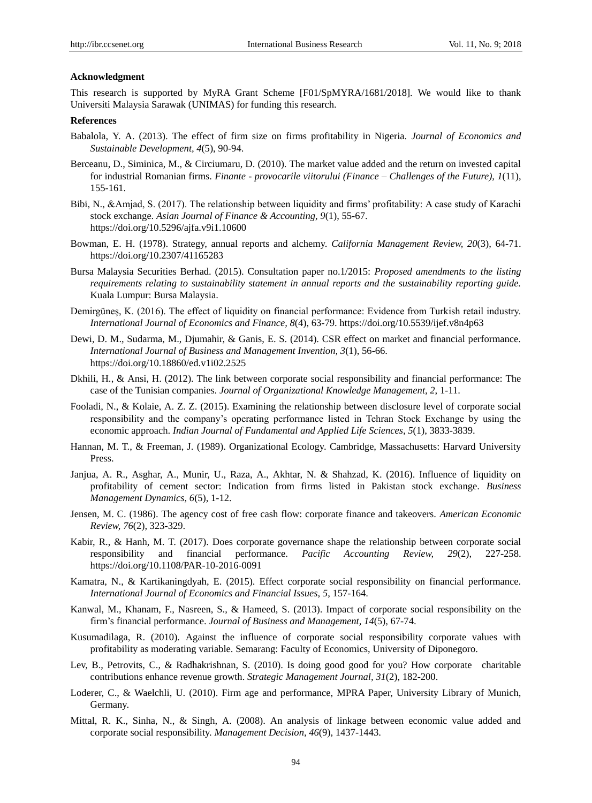#### **Acknowledgment**

This research is supported by MyRA Grant Scheme [F01/SpMYRA/1681/2018]. We would like to thank Universiti Malaysia Sarawak (UNIMAS) for funding this research.

#### **References**

- Babalola, Y. A. (2013). The effect of firm size on firms profitability in Nigeria. *Journal of Economics and Sustainable Development, 4*(5), 90-94.
- Berceanu, D., Siminica, M., & Circiumaru, D. (2010). The market value added and the return on invested capital for industrial Romanian firms. *Finante - provocarile viitorului (Finance – Challenges of the Future), 1*(11), 155-161.
- Bibi, N., &Amjad, S. (2017). The relationship between liquidity and firms' profitability: A case study of Karachi stock exchange. *Asian Journal of Finance & Accounting, 9*(1), 55-67. https://doi.org/10.5296/ajfa.v9i1.10600
- Bowman, E. H. (1978). Strategy, annual reports and alchemy. *California Management Review, 20*(3), 64-71. https://doi.org/10.2307/41165283
- Bursa Malaysia Securities Berhad. (2015). Consultation paper no.1/2015: *Proposed amendments to the listing requirements relating to sustainability statement in annual reports and the sustainability reporting guide.* Kuala Lumpur: Bursa Malaysia.
- Demirgüneş, K. (2016). The effect of liquidity on financial performance: Evidence from Turkish retail industry. *International Journal of Economics and Finance, 8*(4), 63-79. https://doi.org/10.5539/ijef.v8n4p63
- Dewi, D. M., Sudarma, M., Djumahir, & Ganis, E. S. (2014). CSR effect on market and financial performance. *International Journal of Business and Management Invention, 3*(1), 56-66. https://doi.org/10.18860/ed.v1i02.2525
- Dkhili, H., & Ansi, H. (2012). The link between corporate social responsibility and financial performance: The case of the Tunisian companies. *Journal of Organizational Knowledge Management, 2*, 1-11.
- Fooladi, N., & Kolaie, A. Z. Z. (2015). Examining the relationship between disclosure level of corporate social responsibility and the company's operating performance listed in Tehran Stock Exchange by using the economic approach. *Indian Journal of Fundamental and Applied Life Sciences, 5*(1), 3833-3839.
- Hannan, M. T., & Freeman, J. (1989). Organizational Ecology. Cambridge, Massachusetts: Harvard University Press.
- Janjua, A. R., Asghar, A., Munir, U., Raza, A., Akhtar, N. & Shahzad, K. (2016). Influence of liquidity on profitability of cement sector: Indication from firms listed in Pakistan stock exchange. *Business Management Dynamics, 6*(5), 1-12.
- Jensen, M. C. (1986). The agency cost of free cash flow: corporate finance and takeovers. *American Economic Review, 76*(2), 323-329.
- Kabir, R., & Hanh, M. T. (2017). Does corporate governance shape the relationship between corporate social responsibility and financial performance. *Pacific Accounting Review, 29*(2), 227-258. https://doi.org/10.1108/PAR-10-2016-0091
- Kamatra, N., & Kartikaningdyah, E. (2015). Effect corporate social responsibility on financial performance. *International Journal of Economics and Financial Issues, 5*, 157-164.
- Kanwal, M., Khanam, F., Nasreen, S., & Hameed, S. (2013). Impact of corporate social responsibility on the firm's financial performance. *Journal of Business and Management, 14*(5), 67-74.
- Kusumadilaga, R. (2010). Against the influence of corporate social responsibility corporate values with profitability as moderating variable. Semarang: Faculty of Economics, University of Diponegoro.
- Lev, B., Petrovits, C., & Radhakrishnan, S. (2010). Is doing good good for you? How corporate charitable contributions enhance revenue growth. *Strategic Management Journal, 31*(2), 182-200.
- Loderer, C., & Waelchli, U. (2010). Firm age and performance, MPRA Paper, University Library of Munich, Germany.
- Mittal, R. K., Sinha, N., & Singh, A. (2008). An analysis of linkage between economic value added and corporate social responsibility. *Management Decision, 46*(9), 1437-1443.